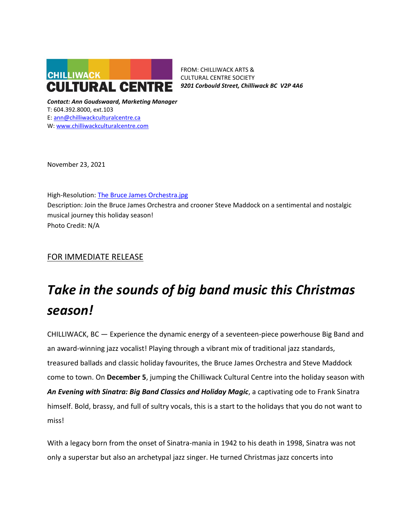

FROM: CHILLIWACK ARTS & CULTURAL CENTRE SOCIETY *9201 Corbould Street, Chilliwack BC V2P 4A6*

*Contact: Ann Goudswaard, Marketing Manager* T: 604.392.8000, ext.103 E: [ann@chilliwackculturalcentre.ca](mailto:ann@chilliwackculturalcentre.ca) W: [www.chilliwackculturalcentre.com](http://www.chilliwackculturalcentre.com/)

November 23, 2021

High-Resolution: [The Bruce James Orchestra.jpg](https://www.chilliwackculturalcentre.ca/wordpress/wp-content/uploads/2021/11/BJO-2019A-1.jpg) Description: Join the Bruce James Orchestra and crooner Steve Maddock on a sentimental and nostalgic musical journey this holiday season! Photo Credit: N/A

## FOR IMMEDIATE RELEASE

# *Take in the sounds of big band music this Christmas season!*

CHILLIWACK, BC — Experience the dynamic energy of a seventeen-piece powerhouse Big Band and an award-winning jazz vocalist! Playing through a vibrant mix of traditional jazz standards, treasured ballads and classic holiday favourites, the Bruce James Orchestra and Steve Maddock come to town. On **December 5**, jumping the Chilliwack Cultural Centre into the holiday season with *An Evening with Sinatra: Big Band Classics and Holiday Magic*, a captivating ode to Frank Sinatra himself. Bold, brassy, and full of sultry vocals, this is a start to the holidays that you do not want to miss!

With a legacy born from the onset of Sinatra-mania in 1942 to his death in 1998, Sinatra was not only a superstar but also an archetypal jazz singer. He turned Christmas jazz concerts into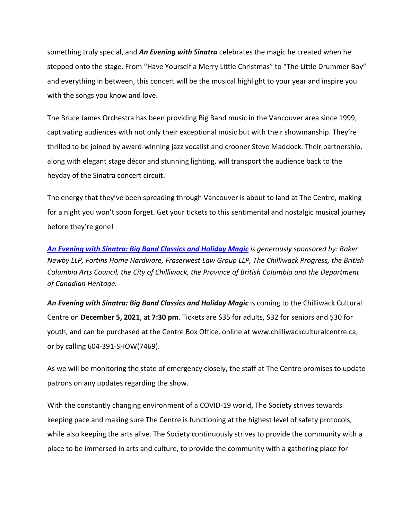something truly special, and *An Evening with Sinatra* celebrates the magic he created when he stepped onto the stage. From "Have Yourself a Merry Little Christmas" to "The Little Drummer Boy" and everything in between, this concert will be the musical highlight to your year and inspire you with the songs you know and love.

The Bruce James Orchestra has been providing Big Band music in the Vancouver area since 1999, captivating audiences with not only their exceptional music but with their showmanship. They're thrilled to be joined by award-winning jazz vocalist and crooner Steve Maddock. Their partnership, along with elegant stage décor and stunning lighting, will transport the audience back to the heyday of the Sinatra concert circuit.

The energy that they've been spreading through Vancouver is about to land at The Centre, making for a night you won't soon forget. Get your tickets to this sentimental and nostalgic musical journey before they're gone!

*[An Evening with Sinatra: Big Band Classics and Holiday Magic](https://www.chilliwackculturalcentre.ca/event/an-evening-with-sinatra-big-band-classics-and-holiday-magic/#.YZU8uGDMIdU) is generously sponsored by: Baker Newby LLP, Fortins Home Hardware, Fraserwest Law Group LLP, The Chilliwack Progress, the British Columbia Arts Council, the City of Chilliwack, the Province of British Columbia and the Department of Canadian Heritage.*

An Evening with Sinatra: Big Band Classics and Holiday Magic is coming to the Chilliwack Cultural Centre on **December 5, 2021**, at **7:30 pm**. Tickets are \$35 for adults, \$32 for seniors and \$30 for youth, and can be purchased at the Centre Box Office, online at www.chilliwackculturalcentre.ca, or by calling 604-391-SHOW(7469).

As we will be monitoring the state of emergency closely, the staff at The Centre promises to update patrons on any updates regarding the show.

With the constantly changing environment of a COVID-19 world, The Society strives towards keeping pace and making sure The Centre is functioning at the highest level of safety protocols, while also keeping the arts alive. The Society continuously strives to provide the community with a place to be immersed in arts and culture, to provide the community with a gathering place for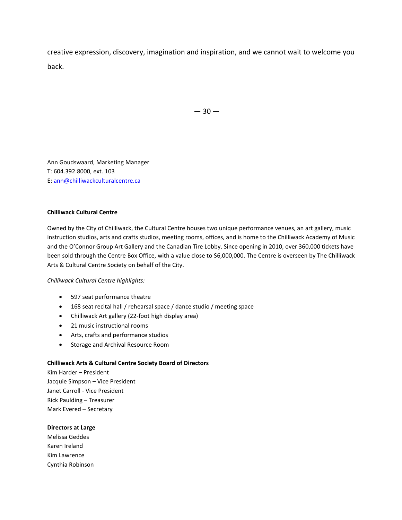creative expression, discovery, imagination and inspiration, and we cannot wait to welcome you back.

 $-30-$ 

Ann Goudswaard, Marketing Manager T: 604.392.8000, ext. 103 E: [ann@chilliwackculturalcentre.ca](mailto:ann@chilliwackculturalcentre.ca)

#### **Chilliwack Cultural Centre**

Owned by the City of Chilliwack, the Cultural Centre houses two unique performance venues, an art gallery, music instruction studios, arts and crafts studios, meeting rooms, offices, and is home to the Chilliwack Academy of Music and the O'Connor Group Art Gallery and the Canadian Tire Lobby. Since opening in 2010, over 360,000 tickets have been sold through the Centre Box Office, with a value close to \$6,000,000. The Centre is overseen by The Chilliwack Arts & Cultural Centre Society on behalf of the City.

#### *Chilliwack Cultural Centre highlights:*

- 597 seat performance theatre
- 168 seat recital hall / rehearsal space / dance studio / meeting space
- Chilliwack Art gallery (22-foot high display area)
- 21 music instructional rooms
- Arts, crafts and performance studios
- Storage and Archival Resource Room

#### **Chilliwack Arts & Cultural Centre Society Board of Directors**

Kim Harder – President Jacquie Simpson – Vice President Janet Carroll - Vice President Rick Paulding – Treasurer Mark Evered – Secretary

#### **Directors at Large**

Melissa Geddes Karen Ireland Kim Lawrence Cynthia Robinson